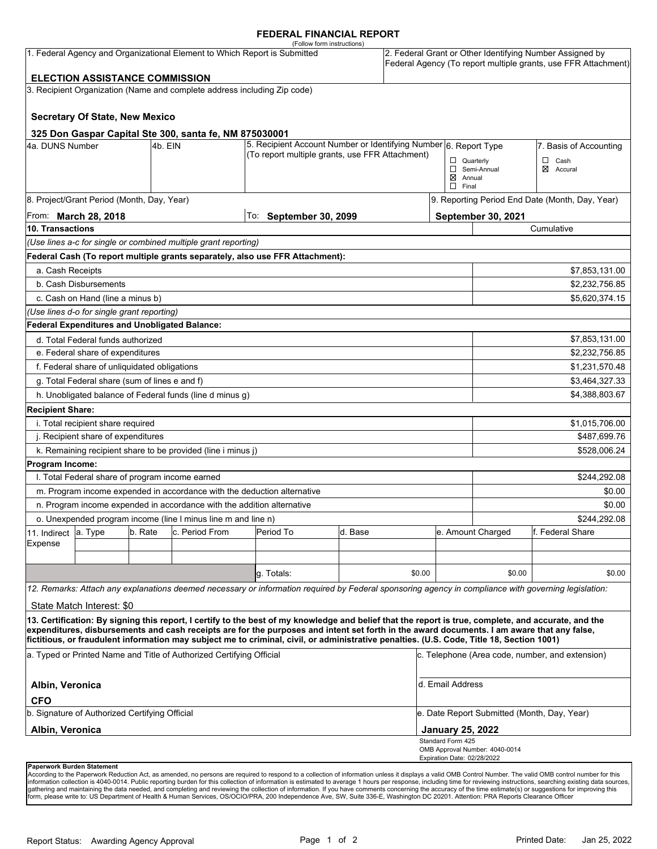### **FEDERAL FINANCIAL REPORT**

|                                                                      |                                                      |         |                                                                           | (Follow form instructions)                                                                                                                                                                                                                                                              |                                                                                                                     |                                                |                                              |                                                 |                                                                                                                            |  |  |
|----------------------------------------------------------------------|------------------------------------------------------|---------|---------------------------------------------------------------------------|-----------------------------------------------------------------------------------------------------------------------------------------------------------------------------------------------------------------------------------------------------------------------------------------|---------------------------------------------------------------------------------------------------------------------|------------------------------------------------|----------------------------------------------|-------------------------------------------------|----------------------------------------------------------------------------------------------------------------------------|--|--|
|                                                                      |                                                      |         | 1. Federal Agency and Organizational Element to Which Report is Submitted |                                                                                                                                                                                                                                                                                         |                                                                                                                     |                                                |                                              |                                                 | 2. Federal Grant or Other Identifying Number Assigned by<br>Federal Agency (To report multiple grants, use FFR Attachment) |  |  |
|                                                                      | <b>ELECTION ASSISTANCE COMMISSION</b>                |         |                                                                           |                                                                                                                                                                                                                                                                                         |                                                                                                                     |                                                |                                              |                                                 |                                                                                                                            |  |  |
|                                                                      |                                                      |         | 3. Recipient Organization (Name and complete address including Zip code)  |                                                                                                                                                                                                                                                                                         |                                                                                                                     |                                                |                                              |                                                 |                                                                                                                            |  |  |
|                                                                      | <b>Secretary Of State, New Mexico</b>                |         |                                                                           |                                                                                                                                                                                                                                                                                         |                                                                                                                     |                                                |                                              |                                                 |                                                                                                                            |  |  |
|                                                                      |                                                      |         | 325 Don Gaspar Capital Ste 300, santa fe, NM 875030001                    |                                                                                                                                                                                                                                                                                         |                                                                                                                     |                                                |                                              |                                                 |                                                                                                                            |  |  |
| 4a. DUNS Number                                                      |                                                      | 4b. EIN |                                                                           |                                                                                                                                                                                                                                                                                         | 5. Recipient Account Number or Identifying Number 6. Report Type<br>(To report multiple grants, use FFR Attachment) |                                                |                                              | 7. Basis of Accounting                          |                                                                                                                            |  |  |
|                                                                      |                                                      |         |                                                                           |                                                                                                                                                                                                                                                                                         |                                                                                                                     |                                                |                                              | $\Box$ Quarterly<br>$\Box$ Cash                 |                                                                                                                            |  |  |
|                                                                      |                                                      |         |                                                                           |                                                                                                                                                                                                                                                                                         |                                                                                                                     | ⊠ Accural<br>Semi-Annual<br>$\boxtimes$ Annual |                                              |                                                 |                                                                                                                            |  |  |
|                                                                      |                                                      |         |                                                                           |                                                                                                                                                                                                                                                                                         |                                                                                                                     |                                                | $\Box$ Final                                 |                                                 |                                                                                                                            |  |  |
|                                                                      | 8. Project/Grant Period (Month, Day, Year)           |         |                                                                           |                                                                                                                                                                                                                                                                                         |                                                                                                                     |                                                |                                              | 9. Reporting Period End Date (Month, Day, Year) |                                                                                                                            |  |  |
| From: March 28, 2018                                                 |                                                      |         |                                                                           | To:<br><b>September 30, 2099</b>                                                                                                                                                                                                                                                        |                                                                                                                     |                                                | <b>September 30, 2021</b>                    |                                                 |                                                                                                                            |  |  |
| 10. Transactions                                                     |                                                      |         |                                                                           |                                                                                                                                                                                                                                                                                         |                                                                                                                     |                                                | Cumulative                                   |                                                 |                                                                                                                            |  |  |
|                                                                      |                                                      |         | (Use lines a-c for single or combined multiple grant reporting)           |                                                                                                                                                                                                                                                                                         |                                                                                                                     |                                                |                                              |                                                 |                                                                                                                            |  |  |
|                                                                      |                                                      |         |                                                                           | Federal Cash (To report multiple grants separately, also use FFR Attachment):                                                                                                                                                                                                           |                                                                                                                     |                                                |                                              |                                                 |                                                                                                                            |  |  |
| a. Cash Receipts                                                     |                                                      |         |                                                                           |                                                                                                                                                                                                                                                                                         |                                                                                                                     |                                                |                                              |                                                 | \$7,853,131.00                                                                                                             |  |  |
|                                                                      | b. Cash Disbursements                                |         |                                                                           |                                                                                                                                                                                                                                                                                         |                                                                                                                     |                                                | \$2,232,756.85                               |                                                 |                                                                                                                            |  |  |
|                                                                      | c. Cash on Hand (line a minus b)                     |         |                                                                           |                                                                                                                                                                                                                                                                                         |                                                                                                                     |                                                |                                              |                                                 | \$5,620,374.15                                                                                                             |  |  |
|                                                                      | (Use lines d-o for single grant reporting)           |         |                                                                           |                                                                                                                                                                                                                                                                                         |                                                                                                                     |                                                |                                              |                                                 |                                                                                                                            |  |  |
|                                                                      | <b>Federal Expenditures and Unobligated Balance:</b> |         |                                                                           |                                                                                                                                                                                                                                                                                         |                                                                                                                     |                                                |                                              |                                                 |                                                                                                                            |  |  |
|                                                                      | d. Total Federal funds authorized                    |         |                                                                           |                                                                                                                                                                                                                                                                                         |                                                                                                                     |                                                |                                              |                                                 | \$7,853,131.00                                                                                                             |  |  |
| e. Federal share of expenditures                                     |                                                      |         |                                                                           |                                                                                                                                                                                                                                                                                         |                                                                                                                     |                                                |                                              |                                                 | \$2,232,756.85                                                                                                             |  |  |
|                                                                      | f. Federal share of unliquidated obligations         |         |                                                                           |                                                                                                                                                                                                                                                                                         |                                                                                                                     |                                                |                                              |                                                 | \$1,231,570.48                                                                                                             |  |  |
|                                                                      | g. Total Federal share (sum of lines e and f)        |         |                                                                           |                                                                                                                                                                                                                                                                                         |                                                                                                                     |                                                |                                              |                                                 | \$3,464,327.33                                                                                                             |  |  |
|                                                                      |                                                      |         | h. Unobligated balance of Federal funds (line d minus g)                  |                                                                                                                                                                                                                                                                                         |                                                                                                                     |                                                |                                              |                                                 | \$4,388,803.67                                                                                                             |  |  |
| <b>Recipient Share:</b>                                              |                                                      |         |                                                                           |                                                                                                                                                                                                                                                                                         |                                                                                                                     |                                                |                                              |                                                 |                                                                                                                            |  |  |
|                                                                      | i. Total recipient share required                    |         |                                                                           |                                                                                                                                                                                                                                                                                         |                                                                                                                     |                                                |                                              |                                                 | \$1,015,706.00                                                                                                             |  |  |
| j. Recipient share of expenditures                                   |                                                      |         |                                                                           |                                                                                                                                                                                                                                                                                         |                                                                                                                     |                                                |                                              | \$487,699.76                                    |                                                                                                                            |  |  |
|                                                                      |                                                      |         | k. Remaining recipient share to be provided (line i minus j)              |                                                                                                                                                                                                                                                                                         |                                                                                                                     |                                                |                                              |                                                 | \$528,006.24                                                                                                               |  |  |
| Program Income:                                                      |                                                      |         |                                                                           |                                                                                                                                                                                                                                                                                         |                                                                                                                     |                                                |                                              |                                                 |                                                                                                                            |  |  |
|                                                                      | I. Total Federal share of program income earned      |         |                                                                           |                                                                                                                                                                                                                                                                                         |                                                                                                                     |                                                |                                              |                                                 | \$244,292.08                                                                                                               |  |  |
|                                                                      |                                                      |         | m. Program income expended in accordance with the deduction alternative   |                                                                                                                                                                                                                                                                                         |                                                                                                                     |                                                |                                              | \$0.00                                          |                                                                                                                            |  |  |
|                                                                      |                                                      |         | n. Program income expended in accordance with the addition alternative    |                                                                                                                                                                                                                                                                                         |                                                                                                                     |                                                |                                              |                                                 | \$0.00                                                                                                                     |  |  |
| o. Unexpended program income (line I minus line m and line n)        |                                                      |         |                                                                           |                                                                                                                                                                                                                                                                                         |                                                                                                                     |                                                |                                              | \$244,292.08                                    |                                                                                                                            |  |  |
| 11. Indirect                                                         | a. Type                                              | b. Rate | c. Period From                                                            | Period To                                                                                                                                                                                                                                                                               | d. Base                                                                                                             |                                                |                                              | e. Amount Charged                               | f. Federal Share                                                                                                           |  |  |
| Expense                                                              |                                                      |         |                                                                           |                                                                                                                                                                                                                                                                                         |                                                                                                                     |                                                |                                              |                                                 |                                                                                                                            |  |  |
|                                                                      |                                                      |         |                                                                           |                                                                                                                                                                                                                                                                                         |                                                                                                                     |                                                |                                              |                                                 |                                                                                                                            |  |  |
|                                                                      |                                                      |         |                                                                           | g. Totals:                                                                                                                                                                                                                                                                              |                                                                                                                     | \$0.00                                         |                                              | \$0.00                                          | \$0.00                                                                                                                     |  |  |
|                                                                      |                                                      |         |                                                                           | 12. Remarks: Attach any explanations deemed necessary or information required by Federal sponsoring agency in compliance with governing legislation:                                                                                                                                    |                                                                                                                     |                                                |                                              |                                                 |                                                                                                                            |  |  |
|                                                                      | State Match Interest: \$0                            |         |                                                                           |                                                                                                                                                                                                                                                                                         |                                                                                                                     |                                                |                                              |                                                 |                                                                                                                            |  |  |
|                                                                      |                                                      |         |                                                                           | 13. Certification: By signing this report, I certify to the best of my knowledge and belief that the report is true, complete, and accurate, and the                                                                                                                                    |                                                                                                                     |                                                |                                              |                                                 |                                                                                                                            |  |  |
|                                                                      |                                                      |         |                                                                           | expenditures, disbursements and cash receipts are for the purposes and intent set forth in the award documents. I am aware that any false,<br>fictitious, or fraudulent information may subject me to criminal, civil, or administrative penalties. (U.S. Code, Title 18, Section 1001) |                                                                                                                     |                                                |                                              |                                                 |                                                                                                                            |  |  |
| a. Typed or Printed Name and Title of Authorized Certifying Official |                                                      |         |                                                                           |                                                                                                                                                                                                                                                                                         |                                                                                                                     |                                                |                                              | c. Telephone (Area code, number, and extension) |                                                                                                                            |  |  |
| Albin, Veronica                                                      |                                                      |         |                                                                           |                                                                                                                                                                                                                                                                                         |                                                                                                                     |                                                |                                              | d. Email Address                                |                                                                                                                            |  |  |
| <b>CFO</b>                                                           |                                                      |         |                                                                           |                                                                                                                                                                                                                                                                                         |                                                                                                                     |                                                |                                              |                                                 |                                                                                                                            |  |  |
| b. Signature of Authorized Certifying Official                       |                                                      |         |                                                                           |                                                                                                                                                                                                                                                                                         |                                                                                                                     |                                                | e. Date Report Submitted (Month, Day, Year)  |                                                 |                                                                                                                            |  |  |
| Albin, Veronica                                                      |                                                      |         |                                                                           |                                                                                                                                                                                                                                                                                         |                                                                                                                     |                                                | <b>January 25, 2022</b><br>Standard Form 425 |                                                 |                                                                                                                            |  |  |
|                                                                      |                                                      |         |                                                                           |                                                                                                                                                                                                                                                                                         |                                                                                                                     |                                                |                                              | OMB Approval Number: 4040-0014                  |                                                                                                                            |  |  |
| <b>Danonuork Burdon Statement</b>                                    |                                                      |         |                                                                           |                                                                                                                                                                                                                                                                                         |                                                                                                                     |                                                | Expiration Date: 02/28/2022                  |                                                 |                                                                                                                            |  |  |

**Paperwork Burden Statement**<br>According to the Paperwork Reduction Act, as amended, no persons are required to respond to a collection of information unless it displays a valid OMB Control Number. The valid OMB control numb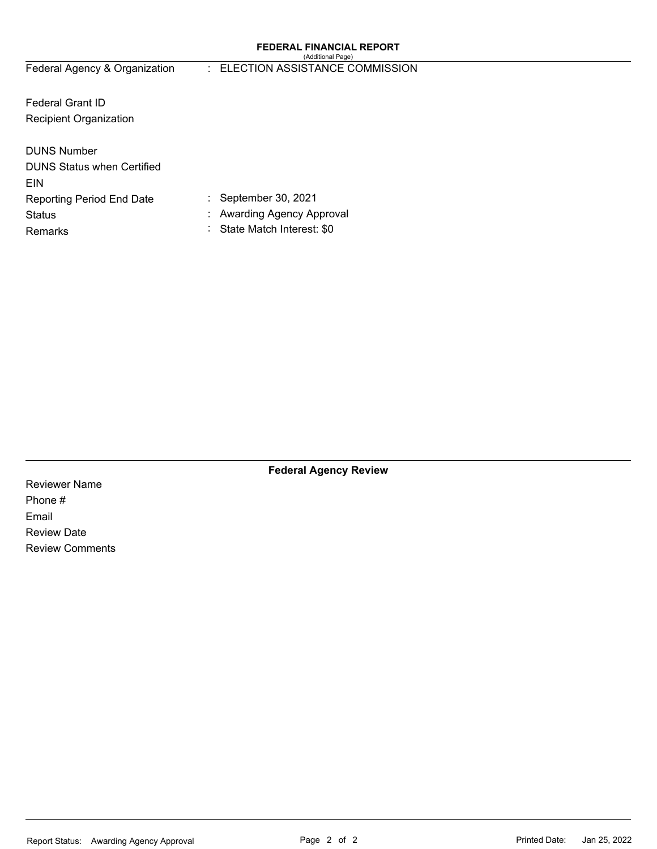#### **FEDERAL FINANCIAL REPORT**  (Additional Page)

## Federal Agency & Organization : ELECTION ASSISTANCE COMMISSION

Federal Grant ID Recipient Organization

| <b>DUNS Number</b>                |  |
|-----------------------------------|--|
| <b>DUNS Status when Certified</b> |  |
| EIN                               |  |
| Reporting Period End Date         |  |
| Status                            |  |
| Remarks                           |  |
|                                   |  |

: September 30, 2021

Awarding Agency Approval

State Match Interest: \$0

**Federal Agency Review** 

Reviewer Name Phone # Email Review Date Review Comments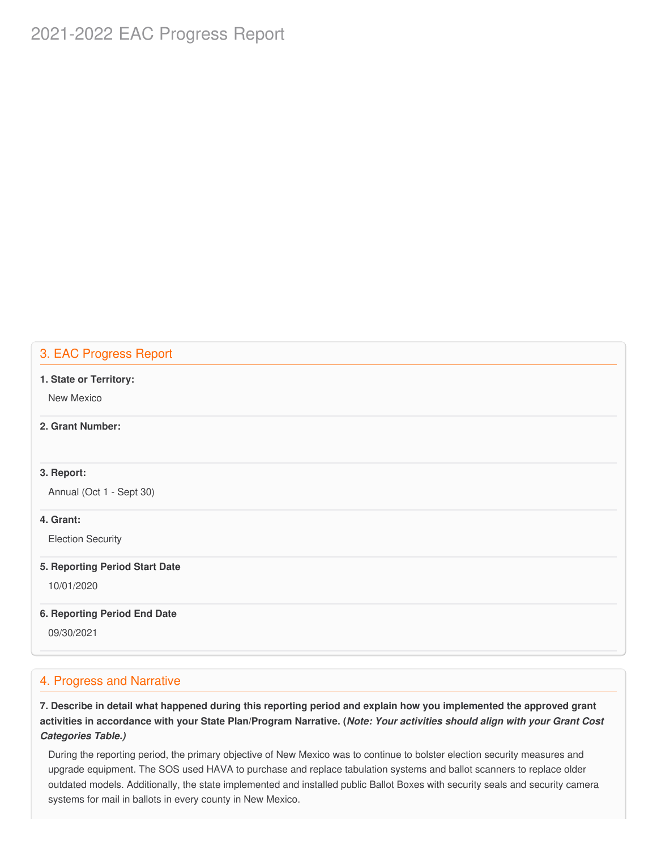# 2021-2022 EAC Progress Report

## 3. EAC Progress Report

#### **1. State or Territory:**

New Mexico

## **2. Grant Number:**

## **3. Report:**

Annual (Oct 1 - Sept 30)

## **4. Grant:**

Election Security

#### **5. Reporting Period Start Date**

10/01/2020

#### **6. Reporting Period End Date**

09/30/2021

## 4. Progress and Narrative

7. Describe in detail what happened during this reporting period and explain how you implemented the approved grant activities in accordance with your State Plan/Program Narrative. (*Note: Your activities should align with your Grant Cost Categories Table.)*

 During the reporting period, the primary objective of New Mexico was to continue to bolster election security measures and upgrade equipment. The SOS used HAVA to purchase and replace tabulation systems and ballot scanners to replace older outdated models. Additionally, the state implemented and installed public Ballot Boxes with security seals and security camera systems for mail in ballots in every county in New Mexico.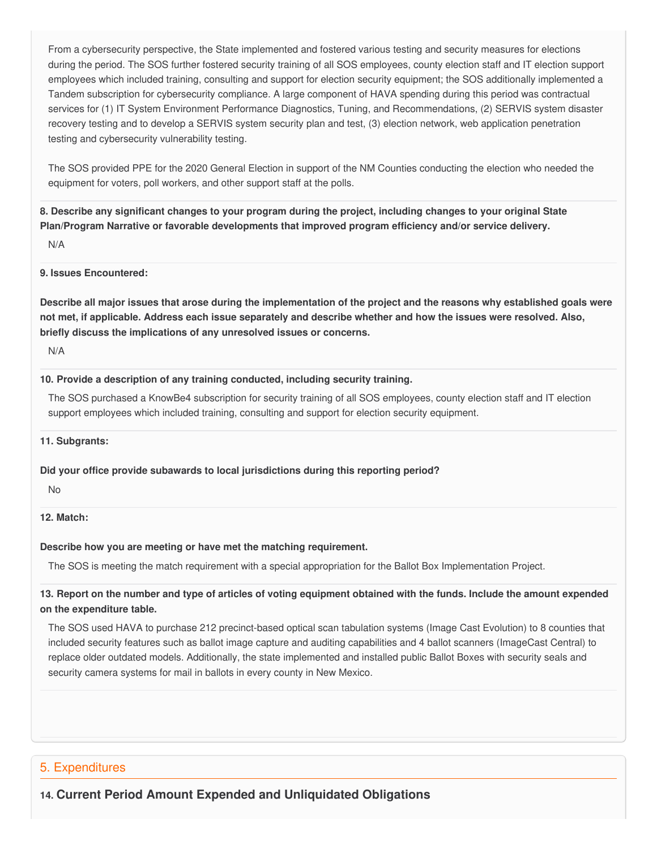From a cybersecurity perspective, the State implemented and fostered various testing and security measures for elections during the period. The SOS further fostered security training of all SOS employees, county election staff and IT election support employees which included training, consulting and support for election security equipment; the SOS additionally implemented a Tandem subscription for cybersecurity compliance. A large component of HAVA spending during this period was contractual services for (1) IT System Environment Performance Diagnostics, Tuning, and Recommendations, (2) SERVIS system disaster recovery testing and to develop a SERVIS system security plan and test, (3) election network, web application penetration testing and cybersecurity vulnerability testing.

 The SOS provided PPE for the 2020 General Election in support of the NM Counties conducting the election who needed the equipment for voters, poll workers, and other support staff at the polls.

8. Describe any significant changes to your program during the project, including changes to your original State  **Plan/Program Narrative or favorable developments that improved program efficiency and/or service delivery.**

N/A

#### **9. Issues Encountered:**

Describe all major issues that arose during the implementation of the project and the reasons why established goals were not met, if applicable. Address each issue separately and describe whether and how the issues were resolved. Also,  **briefly discuss the implications of any unresolved issues or concerns.**

N/A

#### **10. Provide a description of any training conducted, including security training.**

 The SOS purchased a KnowBe4 subscription for security training of all SOS employees, county election staff and IT election support employees which included training, consulting and support for election security equipment.

#### **11. Subgrants:**

#### **Did your office provide subawards to local jurisdictions during this reporting period?**

No

#### **12. Match:**

#### **Describe how you are meeting or have met the matching requirement.**

The SOS is meeting the match requirement with a special appropriation for the Ballot Box Implementation Project.

## 13. Report on the number and type of articles of voting equipment obtained with the funds. Include the amount expended  **on the expenditure table.**

 The SOS used HAVA to purchase 212 precinct-based optical scan tabulation systems (Image Cast Evolution) to 8 counties that included security features such as ballot image capture and auditing capabilities and 4 ballot scanners (ImageCast Central) to replace older outdated models. Additionally, the state implemented and installed public Ballot Boxes with security seals and security camera systems for mail in ballots in every county in New Mexico.

## 5. Expenditures

 **14. Current Period Amount Expended and Unliquidated Obligations**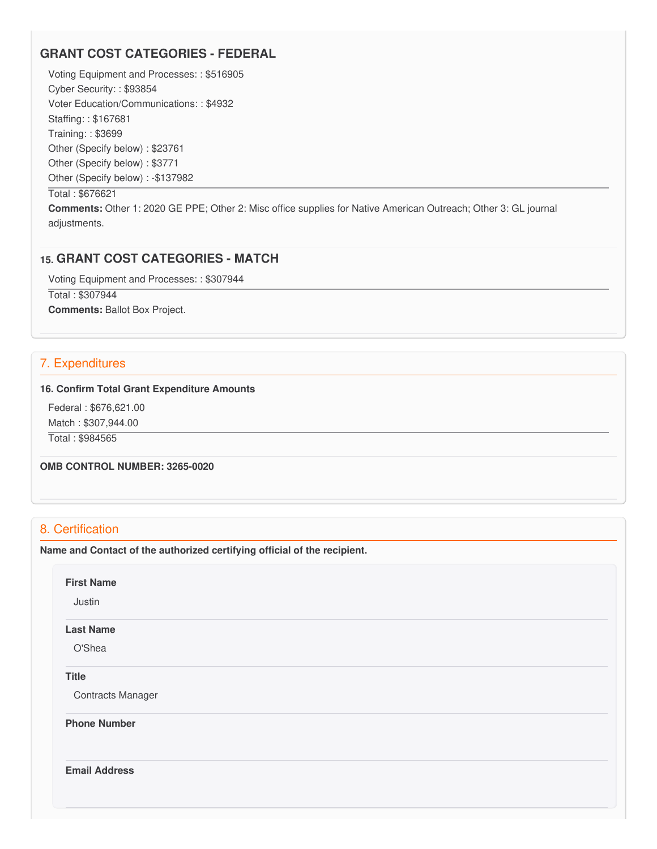## **GRANT COST CATEGORIES - FEDERAL**

 Voting Equipment and Processes: : \$516905 Cyber Security: : \$93854 Voter Education/Communications: : \$4932 Staffing: : \$167681 Training: : \$3699 Other (Specify below) : \$23761 Other (Specify below) : \$3771 Other (Specify below) : -\$137982

#### Total : \$676621

 **Comments:** Other 1: 2020 GE PPE; Other 2: Misc office supplies for Native American Outreach; Other 3: GL journal adjustments.

## **15. GRANT COST CATEGORIES - MATCH**

 Voting Equipment and Processes: : \$307944 Total : \$307944 **Comments:** Ballot Box Project.

## 7. Expenditures

#### **16. Confirm Total Grant Expenditure Amounts**

 Federal : \$[676,621.00](https://676,621.00) Match : \$[307,944.00](https://307,944.00) Total : \$984565

 **OMB CONTROL NUMBER: 3265-0020**

## 8. Certification

 **Name and Contact of the authorized certifying official of the recipient.**

#### **First Name**

Justin

## **Last Name**

O'Shea

#### **Title**

Contracts Manager

**Phone Number** 

**Email Address**